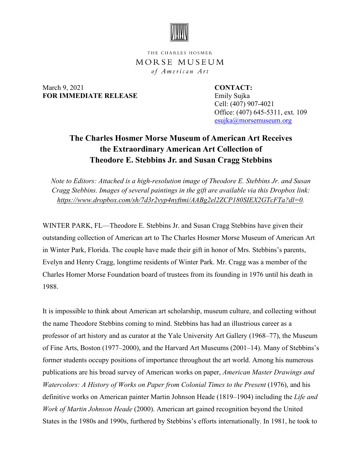

THE CHARLES HOSMER MORSE MUSEUM of American Art

March 9, 2021 **CONTACT: FOR IMMEDIATE RELEASE** Emily Sujka

 Cell: (407) 907-4021 Office: (407) 645-5311, ext. 109 esujka@morsemuseum.org

## **The Charles Hosmer Morse Museum of American Art Receives the Extraordinary American Art Collection of Theodore E. Stebbins Jr. and Susan Cragg Stebbins**

*Note to Editors: Attached is a high-resolution image of Theodore E. Stebbins Jr. and Susan Cragg Stebbins. Images of several paintings in the gift are available via this Dropbox link: [https://www.dropbox.com/sh/7d3r2vyp4nyftmi/AABg2el2ZCP180SIEX2GTcFTa?dl=0.](https://www.dropbox.com/sh/7d3r2vyp4nyftmi/AABg2el2ZCP180SIEX2GTcFTa?dl=0)*

WINTER PARK, FL—Theodore E. Stebbins Jr. and Susan Cragg Stebbins have given their outstanding collection of American art to The Charles Hosmer Morse Museum of American Art in Winter Park, Florida. The couple have made their gift in honor of Mrs. Stebbins's parents, Evelyn and Henry Cragg, longtime residents of Winter Park. Mr. Cragg was a member of the Charles Homer Morse Foundation board of trustees from its founding in 1976 until his death in 1988.

It is impossible to think about American art scholarship, museum culture, and collecting without the name Theodore Stebbins coming to mind. Stebbins has had an illustrious career as a professor of art history and as curator at the Yale University Art Gallery (1968–77), the Museum of Fine Arts, Boston (1977–2000), and the Harvard Art Museums (2001–14). Many of Stebbins's former students occupy positions of importance throughout the art world. Among his numerous publications are his broad survey of American works on paper, *American Master Drawings and Watercolors: A History of Works on Paper from Colonial Times to the Present* (1976), and his definitive works on American painter Martin Johnson Heade (1819–1904) including the *Life and Work of Martin Johnson Heade* (2000). American art gained recognition beyond the United States in the 1980s and 1990s, furthered by Stebbins's efforts internationally. In 1981, he took to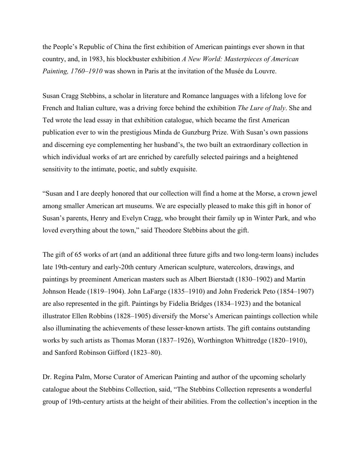the People's Republic of China the first exhibition of American paintings ever shown in that country, and, in 1983, his blockbuster exhibition *A New World: Masterpieces of American Painting, 1760–1910* was shown in Paris at the invitation of the Musée du Louvre.

Susan Cragg Stebbins, a scholar in literature and Romance languages with a lifelong love for French and Italian culture, was a driving force behind the exhibition *The Lure of Italy*. She and Ted wrote the lead essay in that exhibition catalogue, which became the first American publication ever to win the prestigious Minda de Gunzburg Prize. With Susan's own passions and discerning eye complementing her husband's, the two built an extraordinary collection in which individual works of art are enriched by carefully selected pairings and a heightened sensitivity to the intimate, poetic, and subtly exquisite.

"Susan and I are deeply honored that our collection will find a home at the Morse, a crown jewel among smaller American art museums. We are especially pleased to make this gift in honor of Susan's parents, Henry and Evelyn Cragg, who brought their family up in Winter Park, and who loved everything about the town," said Theodore Stebbins about the gift.

The gift of 65 works of art (and an additional three future gifts and two long-term loans) includes late 19th-century and early-20th century American sculpture, watercolors, drawings, and paintings by preeminent American masters such as Albert Bierstadt (1830–1902) and Martin Johnson Heade (1819–1904). John LaFarge (1835–1910) and John Frederick Peto (1854–1907) are also represented in the gift. Paintings by Fidelia Bridges (1834–1923) and the botanical illustrator Ellen Robbins (1828–1905) diversify the Morse's American paintings collection while also illuminating the achievements of these lesser-known artists. The gift contains outstanding works by such artists as Thomas Moran (1837–1926), Worthington Whittredge (1820–1910), and Sanford Robinson Gifford (1823–80).

Dr. Regina Palm, Morse Curator of American Painting and author of the upcoming scholarly catalogue about the Stebbins Collection, said, "The Stebbins Collection represents a wonderful group of 19th-century artists at the height of their abilities. From the collection's inception in the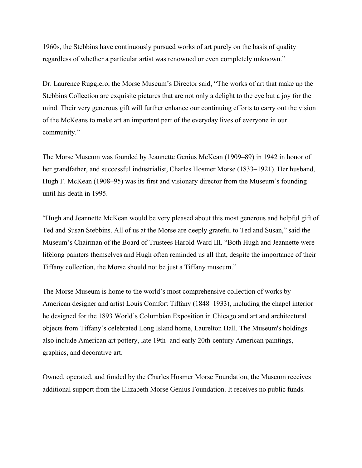1960s, the Stebbins have continuously pursued works of art purely on the basis of quality regardless of whether a particular artist was renowned or even completely unknown."

Dr. Laurence Ruggiero, the Morse Museum's Director said, "The works of art that make up the Stebbins Collection are exquisite pictures that are not only a delight to the eye but a joy for the mind. Their very generous gift will further enhance our continuing efforts to carry out the vision of the McKeans to make art an important part of the everyday lives of everyone in our community."

The Morse Museum was founded by Jeannette Genius McKean (1909–89) in 1942 in honor of her grandfather, and successful industrialist, Charles Hosmer Morse (1833–1921). Her husband, Hugh F. McKean (1908–95) was its first and visionary director from the Museum's founding until his death in 1995.

"Hugh and Jeannette McKean would be very pleased about this most generous and helpful gift of Ted and Susan Stebbins. All of us at the Morse are deeply grateful to Ted and Susan," said the Museum's Chairman of the Board of Trustees Harold Ward III. "Both Hugh and Jeannette were lifelong painters themselves and Hugh often reminded us all that, despite the importance of their Tiffany collection, the Morse should not be just a Tiffany museum."

The Morse Museum is home to the world's most comprehensive collection of works by American designer and artist Louis Comfort Tiffany (1848–1933), including the chapel interior he designed for the 1893 World's Columbian Exposition in Chicago and art and architectural objects from Tiffany's celebrated Long Island home, Laurelton Hall. The Museum's holdings also include American art pottery, late 19th- and early 20th-century American paintings, graphics, and decorative art.

Owned, operated, and funded by the Charles Hosmer Morse Foundation, the Museum receives additional support from the Elizabeth Morse Genius Foundation. It receives no public funds.